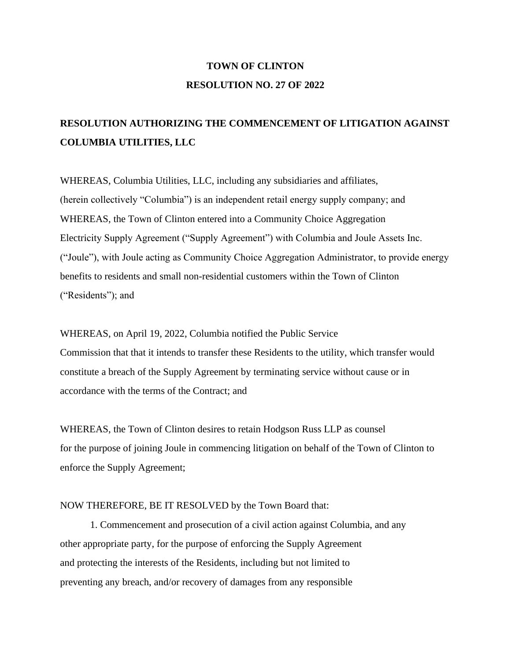## **TOWN OF CLINTON RESOLUTION NO. 27 OF 2022**

## **RESOLUTION AUTHORIZING THE COMMENCEMENT OF LITIGATION AGAINST COLUMBIA UTILITIES, LLC**

WHEREAS, Columbia Utilities, LLC, including any subsidiaries and affiliates, (herein collectively "Columbia") is an independent retail energy supply company; and WHEREAS, the Town of Clinton entered into a Community Choice Aggregation Electricity Supply Agreement ("Supply Agreement") with Columbia and Joule Assets Inc. ("Joule"), with Joule acting as Community Choice Aggregation Administrator, to provide energy benefits to residents and small non-residential customers within the Town of Clinton ("Residents"); and

WHEREAS, on April 19, 2022, Columbia notified the Public Service Commission that that it intends to transfer these Residents to the utility, which transfer would constitute a breach of the Supply Agreement by terminating service without cause or in accordance with the terms of the Contract; and

WHEREAS, the Town of Clinton desires to retain Hodgson Russ LLP as counsel for the purpose of joining Joule in commencing litigation on behalf of the Town of Clinton to enforce the Supply Agreement;

## NOW THEREFORE, BE IT RESOLVED by the Town Board that:

1. Commencement and prosecution of a civil action against Columbia, and any other appropriate party, for the purpose of enforcing the Supply Agreement and protecting the interests of the Residents, including but not limited to preventing any breach, and/or recovery of damages from any responsible